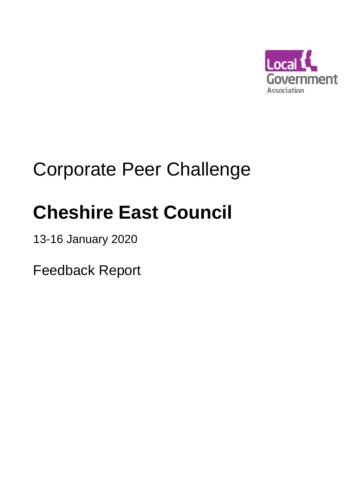

## Corporate Peer Challenge

# **Cheshire East Council**

13-16 January 2020

Feedback Report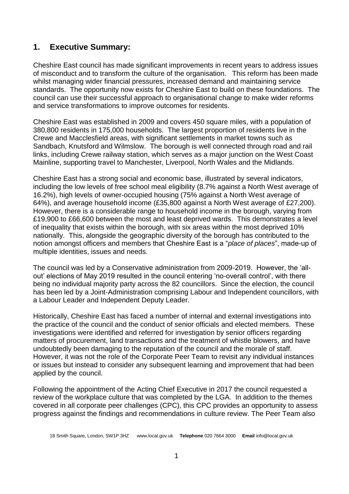## **1. Executive Summary:**

Cheshire East council has made significant improvements in recent years to address issues of misconduct and to transform the culture of the organisation. This reform has been made whilst managing wider financial pressures, increased demand and maintaining service standards. The opportunity now exists for Cheshire East to build on these foundations. The council can use their successful approach to organisational change to make wider reforms and service transformations to improve outcomes for residents.

Cheshire East was established in 2009 and covers 450 square miles, with a population of 380,800 residents in 175,000 households. The largest proportion of residents live in the Crewe and Macclesfield areas, with significant settlements in market towns such as Sandbach, Knutsford and Wilmslow. The borough is well connected through road and rail links, including Crewe railway station, which serves as a major junction on the West Coast Mainline, supporting travel to Manchester, Liverpool, North Wales and the Midlands.

Cheshire East has a strong social and economic base, illustrated by several indicators, including the low levels of free school meal eligibility (8.7% against a North West average of 16.2%), high levels of owner-occupied housing (75% against a North West average of 64%), and average household income (£35,800 against a North West average of £27,200). However, there is a considerable range to household income in the borough, varying from £19,900 to £66,600 between the most and least deprived wards. This demonstrates a level of inequality that exists within the borough, with six areas within the most deprived 10% nationally. This, alongside the geographic diversity of the borough has contributed to the notion amongst officers and members that Cheshire East is a "*place of places*", made-up of multiple identities, issues and needs.

The council was led by a Conservative administration from 2009-2019. However, the 'allout' elections of May 2019 resulted in the council entering 'no-overall control', with there being no individual majority party across the 82 councillors. Since the election, the council has been led by a Joint-Administration comprising Labour and Independent councillors, with a Labour Leader and Independent Deputy Leader.

Historically, Cheshire East has faced a number of internal and external investigations into the practice of the council and the conduct of senior officials and elected members. These investigations were identified and referred for investigation by senior officers regarding matters of procurement, land transactions and the treatment of whistle blowers, and have undoubtedly been damaging to the reputation of the council and the morale of staff. However, it was not the role of the Corporate Peer Team to revisit any individual instances or issues but instead to consider any subsequent learning and improvement that had been applied by the council.

Following the appointment of the Acting Chief Executive in 2017 the council requested a review of the workplace culture that was completed by the LGA. In addition to the themes covered in all corporate peer challenges (CPC), this CPC provides an opportunity to assess progress against the findings and recommendations in culture review. The Peer Team also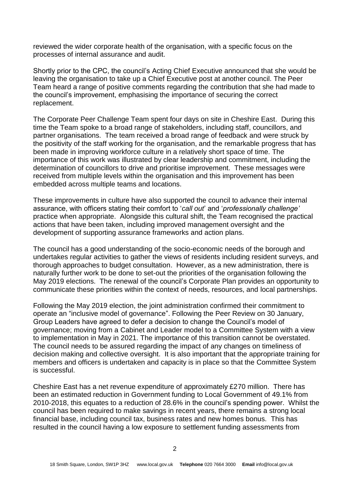reviewed the wider corporate health of the organisation, with a specific focus on the processes of internal assurance and audit.

Shortly prior to the CPC, the council's Acting Chief Executive announced that she would be leaving the organisation to take up a Chief Executive post at another council. The Peer Team heard a range of positive comments regarding the contribution that she had made to the council's improvement, emphasising the importance of securing the correct replacement.

The Corporate Peer Challenge Team spent four days on site in Cheshire East. During this time the Team spoke to a broad range of stakeholders, including staff, councillors, and partner organisations. The team received a broad range of feedback and were struck by the positivity of the staff working for the organisation, and the remarkable progress that has been made in improving workforce culture in a relatively short space of time. The importance of this work was illustrated by clear leadership and commitment, including the determination of councillors to drive and prioritise improvement. These messages were received from multiple levels within the organisation and this improvement has been embedded across multiple teams and locations.

These improvements in culture have also supported the council to advance their internal assurance, with officers stating their comfort to '*call out*' and '*professionally challenge'* practice when appropriate. Alongside this cultural shift, the Team recognised the practical actions that have been taken, including improved management oversight and the development of supporting assurance frameworks and action plans.

The council has a good understanding of the socio-economic needs of the borough and undertakes regular activities to gather the views of residents including resident surveys, and thorough approaches to budget consultation. However, as a new administration, there is naturally further work to be done to set-out the priorities of the organisation following the May 2019 elections. The renewal of the council's Corporate Plan provides an opportunity to communicate these priorities within the context of needs, resources, and local partnerships.

Following the May 2019 election, the joint administration confirmed their commitment to operate an "inclusive model of governance". Following the Peer Review on 30 January, Group Leaders have agreed to defer a decision to change the Council's model of governance; moving from a Cabinet and Leader model to a Committee System with a view to implementation in May in 2021. The importance of this transition cannot be overstated. The council needs to be assured regarding the impact of any changes on timeliness of decision making and collective oversight. It is also important that the appropriate training for members and officers is undertaken and capacity is in place so that the Committee System is successful.

Cheshire East has a net revenue expenditure of approximately £270 million. There has been an estimated reduction in Government funding to Local Government of 49.1% from 2010-2018, this equates to a reduction of 28.6% in the council's spending power. Whilst the council has been required to make savings in recent years, there remains a strong local financial base, including council tax, business rates and new homes bonus. This has resulted in the council having a low exposure to settlement funding assessments from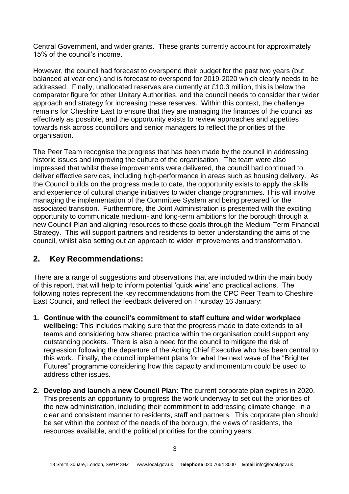Central Government, and wider grants. These grants currently account for approximately 15% of the council's income.

However, the council had forecast to overspend their budget for the past two years (but balanced at year end) and is forecast to overspend for 2019-2020 which clearly needs to be addressed. Finally, unallocated reserves are currently at £10.3 million, this is below the comparator figure for other Unitary Authorities, and the council needs to consider their wider approach and strategy for increasing these reserves. Within this context, the challenge remains for Cheshire East to ensure that they are managing the finances of the council as effectively as possible, and the opportunity exists to review approaches and appetites towards risk across councillors and senior managers to reflect the priorities of the organisation.

The Peer Team recognise the progress that has been made by the council in addressing historic issues and improving the culture of the organisation. The team were also impressed that whilst these improvements were delivered, the council had continued to deliver effective services, including high-performance in areas such as housing delivery. As the Council builds on the progress made to date, the opportunity exists to apply the skills and experience of cultural change initiatives to wider change programmes. This will involve managing the implementation of the Committee System and being prepared for the associated transition. Furthermore, the Joint Administration is presented with the exciting opportunity to communicate medium- and long-term ambitions for the borough through a new Council Plan and aligning resources to these goals through the Medium-Term Financial Strategy. This will support partners and residents to better understanding the aims of the council, whilst also setting out an approach to wider improvements and transformation.

## **2. Key Recommendations:**

There are a range of suggestions and observations that are included within the main body of this report, that will help to inform potential 'quick wins' and practical actions. The following notes represent the key recommendations from the CPC Peer Team to Cheshire East Council, and reflect the feedback delivered on Thursday 16 January:

- **1. Continue with the council's commitment to staff culture and wider workplace wellbeing:** This includes making sure that the progress made to date extends to all teams and considering how shared practice within the organisation could support any outstanding pockets. There is also a need for the council to mitigate the risk of regression following the departure of the Acting Chief Executive who has been central to this work. Finally, the council implement plans for what the next wave of the "Brighter Futures" programme considering how this capacity and momentum could be used to address other issues.
- **2. Develop and launch a new Council Plan:** The current corporate plan expires in 2020. This presents an opportunity to progress the work underway to set out the priorities of the new administration, including their commitment to addressing climate change, in a clear and consistent manner to residents, staff and partners. This corporate plan should be set within the context of the needs of the borough, the views of residents, the resources available, and the political priorities for the coming years.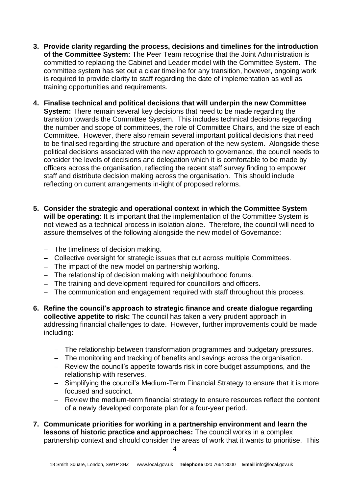- **3. Provide clarity regarding the process, decisions and timelines for the introduction of the Committee System:** The Peer Team recognise that the Joint Administration is committed to replacing the Cabinet and Leader model with the Committee System. The committee system has set out a clear timeline for any transition, however, ongoing work is required to provide clarity to staff regarding the date of implementation as well as training opportunities and requirements.
- **4. Finalise technical and political decisions that will underpin the new Committee System:** There remain several key decisions that need to be made regarding the transition towards the Committee System. This includes technical decisions regarding the number and scope of committees, the role of Committee Chairs, and the size of each Committee. However, there also remain several important political decisions that need to be finalised regarding the structure and operation of the new system. Alongside these political decisions associated with the new approach to governance, the council needs to consider the levels of decisions and delegation which it is comfortable to be made by officers across the organisation, reflecting the recent staff survey finding to empower staff and distribute decision making across the organisation. This should include reflecting on current arrangements in-light of proposed reforms.
- **5. Consider the strategic and operational context in which the Committee System will be operating:** It is important that the implementation of the Committee System is not viewed as a technical process in isolation alone. Therefore, the council will need to assure themselves of the following alongside the new model of Governance:
	- − The timeliness of decision making.
	- − Collective oversight for strategic issues that cut across multiple Committees.
	- − The impact of the new model on partnership working.
	- − The relationship of decision making with neighbourhood forums.
	- − The training and development required for councillors and officers.
	- − The communication and engagement required with staff throughout this process.
- **6. Refine the council's approach to strategic finance and create dialogue regarding collective appetite to risk:** The council has taken a very prudent approach in addressing financial challenges to date. However, further improvements could be made including:
	- − The relationship between transformation programmes and budgetary pressures.
	- − The monitoring and tracking of benefits and savings across the organisation.
	- − Review the council's appetite towards risk in core budget assumptions, and the relationship with reserves.
	- − Simplifying the council's Medium-Term Financial Strategy to ensure that it is more focused and succinct.
	- − Review the medium-term financial strategy to ensure resources reflect the content of a newly developed corporate plan for a four-year period.
- **7. Communicate priorities for working in a partnership environment and learn the lessons of historic practice and approaches:** The council works in a complex partnership context and should consider the areas of work that it wants to prioritise. This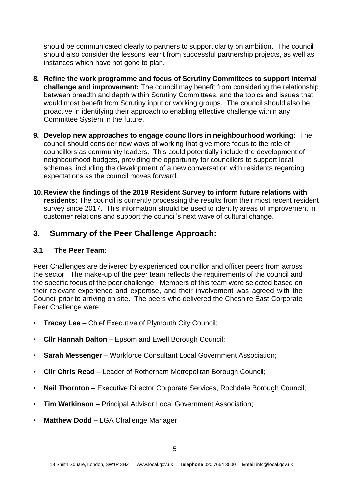should be communicated clearly to partners to support clarity on ambition. The council should also consider the lessons learnt from successful partnership projects, as well as instances which have not gone to plan.

- **8. Refine the work programme and focus of Scrutiny Committees to support internal challenge and improvement:** The council may benefit from considering the relationship between breadth and depth within Scrutiny Committees, and the topics and issues that would most benefit from Scrutiny input or working groups. The council should also be proactive in identifying their approach to enabling effective challenge within any Committee System in the future.
- **9. Develop new approaches to engage councillors in neighbourhood working:** The council should consider new ways of working that give more focus to the role of councillors as community leaders. This could potentially include the development of neighbourhood budgets, providing the opportunity for councillors to support local schemes, including the development of a new conversation with residents regarding expectations as the council moves forward.
- **10.Review the findings of the 2019 Resident Survey to inform future relations with residents:** The council is currently processing the results from their most recent resident survey since 2017. This information should be used to identify areas of improvement in customer relations and support the council's next wave of cultural change.

## **3. Summary of the Peer Challenge Approach:**

#### **3.1 The Peer Team:**

Peer Challenges are delivered by experienced councillor and officer peers from across the sector. The make-up of the peer team reflects the requirements of the council and the specific focus of the peer challenge. Members of this team were selected based on their relevant experience and expertise, and their involvement was agreed with the Council prior to arriving on site. The peers who delivered the Cheshire East Corporate Peer Challenge were:

- **Tracey Lee**  Chief Executive of Plymouth City Council;
- **Cllr Hannah Dalton**  Epsom and Ewell Borough Council;
- **Sarah Messenger** Workforce Consultant Local Government Association;
- **Cllr Chris Read**  Leader of Rotherham Metropolitan Borough Council;
- **Neil Thornton**  Executive Director Corporate Services, Rochdale Borough Council;
- **Tim Watkinson** Principal Advisor Local Government Association;
- **Matthew Dodd –** LGA Challenge Manager.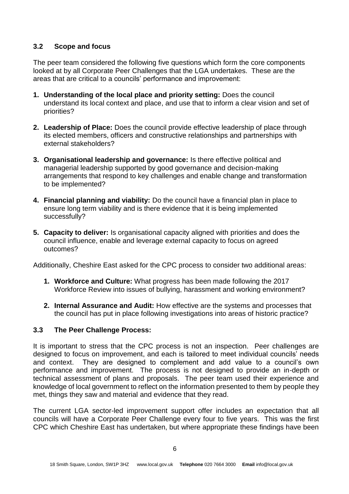#### **3.2 Scope and focus**

The peer team considered the following five questions which form the core components looked at by all Corporate Peer Challenges that the LGA undertakes. These are the areas that are critical to a councils' performance and improvement:

- **1. Understanding of the local place and priority setting:** Does the council understand its local context and place, and use that to inform a clear vision and set of priorities?
- **2. Leadership of Place:** Does the council provide effective leadership of place through its elected members, officers and constructive relationships and partnerships with external stakeholders?
- **3. Organisational leadership and governance:** Is there effective political and managerial leadership supported by good governance and decision-making arrangements that respond to key challenges and enable change and transformation to be implemented?
- **4. Financial planning and viability:** Do the council have a financial plan in place to ensure long term viability and is there evidence that it is being implemented successfully?
- **5. Capacity to deliver:** Is organisational capacity aligned with priorities and does the council influence, enable and leverage external capacity to focus on agreed outcomes?

Additionally, Cheshire East asked for the CPC process to consider two additional areas:

- **1. Workforce and Culture:** What progress has been made following the 2017 Workforce Review into issues of bullying, harassment and working environment?
- **2. Internal Assurance and Audit:** How effective are the systems and processes that the council has put in place following investigations into areas of historic practice?

## **3.3 The Peer Challenge Process:**

It is important to stress that the CPC process is not an inspection. Peer challenges are designed to focus on improvement, and each is tailored to meet individual councils' needs and context. They are designed to complement and add value to a council's own performance and improvement. The process is not designed to provide an in-depth or technical assessment of plans and proposals. The peer team used their experience and knowledge of local government to reflect on the information presented to them by people they met, things they saw and material and evidence that they read.

The current LGA sector-led improvement support offer includes an expectation that all councils will have a Corporate Peer Challenge every four to five years. This was the first CPC which Cheshire East has undertaken, but where appropriate these findings have been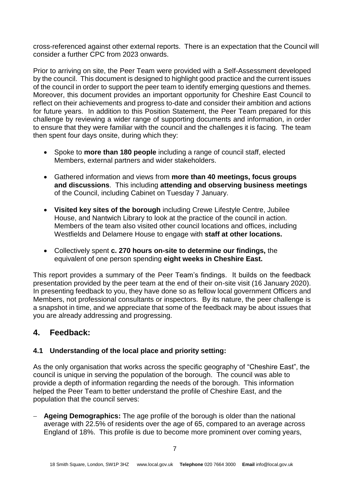cross-referenced against other external reports. There is an expectation that the Council will consider a further CPC from 2023 onwards.

Prior to arriving on site, the Peer Team were provided with a Self-Assessment developed by the council. This document is designed to highlight good practice and the current issues of the council in order to support the peer team to identify emerging questions and themes. Moreover, this document provides an important opportunity for Cheshire East Council to reflect on their achievements and progress to-date and consider their ambition and actions for future years. In addition to this Position Statement, the Peer Team prepared for this challenge by reviewing a wider range of supporting documents and information, in order to ensure that they were familiar with the council and the challenges it is facing. The team then spent four days onsite, during which they:

- Spoke to **more than 180 people** including a range of council staff, elected Members, external partners and wider stakeholders.
- Gathered information and views from **more than 40 meetings, focus groups and discussions**. This including **attending and observing business meetings** of the Council, including Cabinet on Tuesday 7 January.
- **Visited key sites of the borough** including Crewe Lifestyle Centre, Jubilee House, and Nantwich Library to look at the practice of the council in action. Members of the team also visited other council locations and offices, including Westfields and Delamere House to engage with **staff at other locations.**
- Collectively spent **c. 270 hours on-site to determine our findings,** the equivalent of one person spending **eight weeks in Cheshire East.**

This report provides a summary of the Peer Team's findings. It builds on the feedback presentation provided by the peer team at the end of their on-site visit (16 January 2020). In presenting feedback to you, they have done so as fellow local government Officers and Members, not professional consultants or inspectors. By its nature, the peer challenge is a snapshot in time, and we appreciate that some of the feedback may be about issues that you are already addressing and progressing.

## **4. Feedback:**

#### **4.1 Understanding of the local place and priority setting:**

As the only organisation that works across the specific geography of "Cheshire East", the council is unique in serving the population of the borough. The council was able to provide a depth of information regarding the needs of the borough. This information helped the Peer Team to better understand the profile of Cheshire East, and the population that the council serves:

− **Ageing Demographics:** The age profile of the borough is older than the national average with 22.5% of residents over the age of 65, compared to an average across England of 18%. This profile is due to become more prominent over coming years,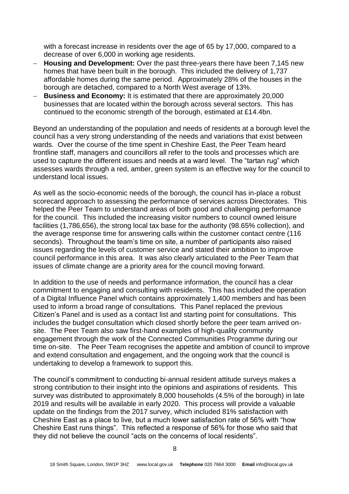with a forecast increase in residents over the age of 65 by 17,000, compared to a decrease of over 6,000 in working age residents.

- − **Housing and Development:** Over the past three-years there have been 7,145 new homes that have been built in the borough. This included the delivery of 1,737 affordable homes during the same period. Approximately 28% of the houses in the borough are detached, compared to a North West average of 13%.
- − **Business and Economy:** It is estimated that there are approximately 20,000 businesses that are located within the borough across several sectors. This has continued to the economic strength of the borough, estimated at £14.4bn.

Beyond an understanding of the population and needs of residents at a borough level the council has a very strong understanding of the needs and variations that exist between wards. Over the course of the time spent in Cheshire East, the Peer Team heard frontline staff, managers and councillors all refer to the tools and processes which are used to capture the different issues and needs at a ward level. The "tartan rug" which assesses wards through a red, amber, green system is an effective way for the council to understand local issues.

As well as the socio-economic needs of the borough, the council has in-place a robust scorecard approach to assessing the performance of services across Directorates. This helped the Peer Team to understand areas of both good and challenging performance for the council. This included the increasing visitor numbers to council owned leisure facilities (1,786,656), the strong local tax base for the authority (98.65% collection), and the average response time for answering calls within the customer contact centre (116 seconds). Throughout the team's time on site, a number of participants also raised issues regarding the levels of customer service and stated their ambition to improve council performance in this area. It was also clearly articulated to the Peer Team that issues of climate change are a priority area for the council moving forward.

In addition to the use of needs and performance information, the council has a clear commitment to engaging and consulting with residents. This has included the operation of a Digital Influence Panel which contains approximately 1,400 members and has been used to inform a broad range of consultations. This Panel replaced the previous Citizen's Panel and is used as a contact list and starting point for consultations. This includes the budget consultation which closed shortly before the peer team arrived onsite. The Peer Team also saw first-hand examples of high-quality community engagement through the work of the Connected Communities Programme during our time on-site. The Peer Team recognises the appetite and ambition of council to improve and extend consultation and engagement, and the ongoing work that the council is undertaking to develop a framework to support this.

The council's commitment to conducting bi-annual resident attitude surveys makes a strong contribution to their insight into the opinions and aspirations of residents. This survey was distributed to approximately 8,000 households (4.5% of the borough) in late 2019 and results will be available in early 2020. This process will provide a valuable update on the findings from the 2017 survey, which included 81% satisfaction with Cheshire East as a place to live, but a much lower satisfaction rate of 56% with "how Cheshire East runs things". This reflected a response of 56% for those who said that they did not believe the council "acts on the concerns of local residents".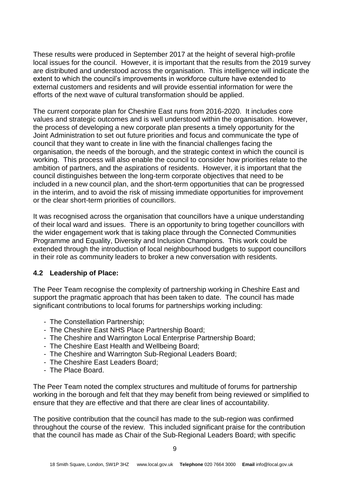These results were produced in September 2017 at the height of several high-profile local issues for the council. However, it is important that the results from the 2019 survey are distributed and understood across the organisation. This intelligence will indicate the extent to which the council's improvements in workforce culture have extended to external customers and residents and will provide essential information for were the efforts of the next wave of cultural transformation should be applied.

The current corporate plan for Cheshire East runs from 2016-2020. It includes core values and strategic outcomes and is well understood within the organisation. However, the process of developing a new corporate plan presents a timely opportunity for the Joint Administration to set out future priorities and focus and communicate the type of council that they want to create in line with the financial challenges facing the organisation, the needs of the borough, and the strategic context in which the council is working. This process will also enable the council to consider how priorities relate to the ambition of partners, and the aspirations of residents. However, it is important that the council distinguishes between the long-term corporate objectives that need to be included in a new council plan, and the short-term opportunities that can be progressed in the interim, and to avoid the risk of missing immediate opportunities for improvement or the clear short-term priorities of councillors.

It was recognised across the organisation that councillors have a unique understanding of their local ward and issues. There is an opportunity to bring together councillors with the wider engagement work that is taking place through the Connected Communities Programme and Equality, Diversity and Inclusion Champions. This work could be extended through the introduction of local neighbourhood budgets to support councillors in their role as community leaders to broker a new conversation with residents.

#### **4.2 Leadership of Place:**

The Peer Team recognise the complexity of partnership working in Cheshire East and support the pragmatic approach that has been taken to date. The council has made significant contributions to local forums for partnerships working including:

- The Constellation Partnership;
- The Cheshire East NHS Place Partnership Board;
- The Cheshire and Warrington Local Enterprise Partnership Board;
- The Cheshire East Health and Wellbeing Board;
- The Cheshire and Warrington Sub-Regional Leaders Board;
- The Cheshire East Leaders Board;
- The Place Board.

The Peer Team noted the complex structures and multitude of forums for partnership working in the borough and felt that they may benefit from being reviewed or simplified to ensure that they are effective and that there are clear lines of accountability.

The positive contribution that the council has made to the sub-region was confirmed throughout the course of the review. This included significant praise for the contribution that the council has made as Chair of the Sub-Regional Leaders Board; with specific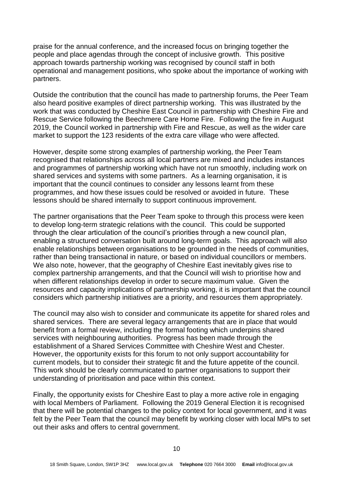praise for the annual conference, and the increased focus on bringing together the people and place agendas through the concept of inclusive growth. This positive approach towards partnership working was recognised by council staff in both operational and management positions, who spoke about the importance of working with partners.

Outside the contribution that the council has made to partnership forums, the Peer Team also heard positive examples of direct partnership working. This was illustrated by the work that was conducted by Cheshire East Council in partnership with Cheshire Fire and Rescue Service following the Beechmere Care Home Fire. Following the fire in August 2019, the Council worked in partnership with Fire and Rescue, as well as the wider care market to support the 123 residents of the extra care village who were affected.

However, despite some strong examples of partnership working, the Peer Team recognised that relationships across all local partners are mixed and includes instances and programmes of partnership working which have not run smoothly, including work on shared services and systems with some partners. As a learning organisation, it is important that the council continues to consider any lessons learnt from these programmes, and how these issues could be resolved or avoided in future. These lessons should be shared internally to support continuous improvement.

The partner organisations that the Peer Team spoke to through this process were keen to develop long-term strategic relations with the council. This could be supported through the clear articulation of the council's priorities through a new council plan, enabling a structured conversation built around long-term goals. This approach will also enable relationships between organisations to be grounded in the needs of communities, rather than being transactional in nature, or based on individual councillors or members. We also note, however, that the geography of Cheshire East inevitably gives rise to complex partnership arrangements, and that the Council will wish to prioritise how and when different relationships develop in order to secure maximum value. Given the resources and capacity implications of partnership working, it is important that the council considers which partnership initiatives are a priority, and resources them appropriately.

The council may also wish to consider and communicate its appetite for shared roles and shared services. There are several legacy arrangements that are in place that would benefit from a formal review, including the formal footing which underpins shared services with neighbouring authorities. Progress has been made through the establishment of a Shared Services Committee with Cheshire West and Chester. However, the opportunity exists for this forum to not only support accountability for current models, but to consider their strategic fit and the future appetite of the council. This work should be clearly communicated to partner organisations to support their understanding of prioritisation and pace within this context.

Finally, the opportunity exists for Cheshire East to play a more active role in engaging with local Members of Parliament. Following the 2019 General Election it is recognised that there will be potential changes to the policy context for local government, and it was felt by the Peer Team that the council may benefit by working closer with local MPs to set out their asks and offers to central government.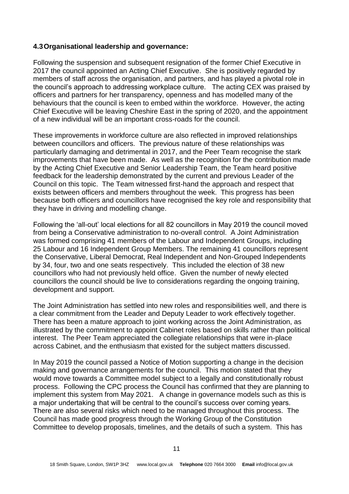#### **4.3Organisational leadership and governance:**

Following the suspension and subsequent resignation of the former Chief Executive in 2017 the council appointed an Acting Chief Executive. She is positively regarded by members of staff across the organisation, and partners, and has played a pivotal role in the council's approach to addressing workplace culture. The acting CEX was praised by officers and partners for her transparency, openness and has modelled many of the behaviours that the council is keen to embed within the workforce. However, the acting Chief Executive will be leaving Cheshire East in the spring of 2020, and the appointment of a new individual will be an important cross-roads for the council.

These improvements in workforce culture are also reflected in improved relationships between councillors and officers. The previous nature of these relationships was particularly damaging and detrimental in 2017, and the Peer Team recognise the stark improvements that have been made. As well as the recognition for the contribution made by the Acting Chief Executive and Senior Leadership Team, the Team heard positive feedback for the leadership demonstrated by the current and previous Leader of the Council on this topic. The Team witnessed first-hand the approach and respect that exists between officers and members throughout the week. This progress has been because both officers and councillors have recognised the key role and responsibility that they have in driving and modelling change.

Following the 'all-out' local elections for all 82 councillors in May 2019 the council moved from being a Conservative administration to no-overall control. A Joint Administration was formed comprising 41 members of the Labour and Independent Groups, including 25 Labour and 16 Independent Group Members. The remaining 41 councillors represent the Conservative, Liberal Democrat, Real Independent and Non-Grouped Independents by 34, four, two and one seats respectively. This included the election of 38 new councillors who had not previously held office. Given the number of newly elected councillors the council should be live to considerations regarding the ongoing training, development and support.

The Joint Administration has settled into new roles and responsibilities well, and there is a clear commitment from the Leader and Deputy Leader to work effectively together. There has been a mature approach to joint working across the Joint Administration, as illustrated by the commitment to appoint Cabinet roles based on skills rather than political interest. The Peer Team appreciated the collegiate relationships that were in-place across Cabinet, and the enthusiasm that existed for the subject matters discussed.

In May 2019 the council passed a Notice of Motion supporting a change in the decision making and governance arrangements for the council. This motion stated that they would move towards a Committee model subject to a legally and constitutionally robust process. Following the CPC process the Council has confirmed that they are planning to implement this system from May 2021. A change in governance models such as this is a major undertaking that will be central to the council's success over coming years. There are also several risks which need to be managed throughout this process. The Council has made good progress through the Working Group of the Constitution Committee to develop proposals, timelines, and the details of such a system. This has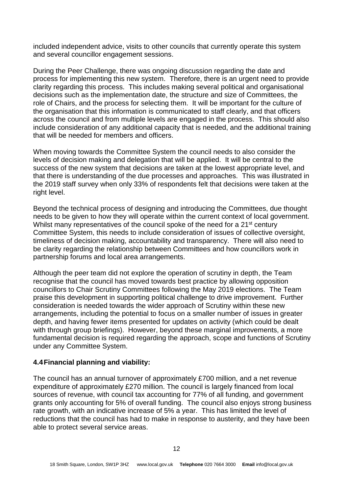included independent advice, visits to other councils that currently operate this system and several councillor engagement sessions.

During the Peer Challenge, there was ongoing discussion regarding the date and process for implementing this new system. Therefore, there is an urgent need to provide clarity regarding this process. This includes making several political and organisational decisions such as the implementation date, the structure and size of Committees, the role of Chairs, and the process for selecting them. It will be important for the culture of the organisation that this information is communicated to staff clearly, and that officers across the council and from multiple levels are engaged in the process. This should also include consideration of any additional capacity that is needed, and the additional training that will be needed for members and officers.

When moving towards the Committee System the council needs to also consider the levels of decision making and delegation that will be applied. It will be central to the success of the new system that decisions are taken at the lowest appropriate level, and that there is understanding of the due processes and approaches. This was illustrated in the 2019 staff survey when only 33% of respondents felt that decisions were taken at the right level.

Beyond the technical process of designing and introducing the Committees, due thought needs to be given to how they will operate within the current context of local government. Whilst many representatives of the council spoke of the need for a 21<sup>st</sup> century Committee System, this needs to include consideration of issues of collective oversight, timeliness of decision making, accountability and transparency. There will also need to be clarity regarding the relationship between Committees and how councillors work in partnership forums and local area arrangements.

Although the peer team did not explore the operation of scrutiny in depth, the Team recognise that the council has moved towards best practice by allowing opposition councillors to Chair Scrutiny Committees following the May 2019 elections. The Team praise this development in supporting political challenge to drive improvement. Further consideration is needed towards the wider approach of Scrutiny within these new arrangements, including the potential to focus on a smaller number of issues in greater depth, and having fewer items presented for updates on activity (which could be dealt with through group briefings). However, beyond these marginal improvements, a more fundamental decision is required regarding the approach, scope and functions of Scrutiny under any Committee System.

#### **4.4Financial planning and viability:**

The council has an annual turnover of approximately £700 million, and a net revenue expenditure of approximately £270 million. The council is largely financed from local sources of revenue, with council tax accounting for 77% of all funding, and government grants only accounting for 5% of overall funding. The council also enjoys strong business rate growth, with an indicative increase of 5% a year. This has limited the level of reductions that the council has had to make in response to austerity, and they have been able to protect several service areas.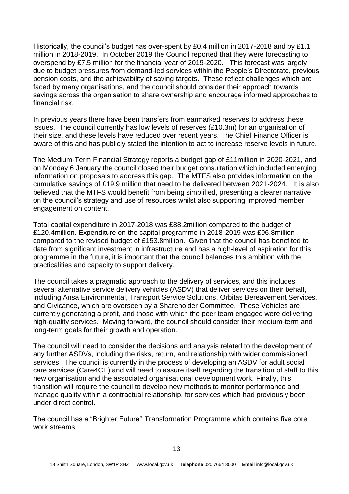Historically, the council's budget has over-spent by £0.4 million in 2017-2018 and by £1.1 million in 2018-2019. In October 2019 the Council reported that they were forecasting to overspend by £7.5 million for the financial year of 2019-2020. This forecast was largely due to budget pressures from demand-led services within the People's Directorate, previous pension costs, and the achievability of saving targets. These reflect challenges which are faced by many organisations, and the council should consider their approach towards savings across the organisation to share ownership and encourage informed approaches to financial risk.

In previous years there have been transfers from earmarked reserves to address these issues. The council currently has low levels of reserves (£10.3m) for an organisation of their size, and these levels have reduced over recent years. The Chief Finance Officer is aware of this and has publicly stated the intention to act to increase reserve levels in future.

The Medium-Term Financial Strategy reports a budget gap of £11million in 2020-2021, and on Monday 6 January the council closed their budget consultation which included emerging information on proposals to address this gap. The MTFS also provides information on the cumulative savings of £19.9 million that need to be delivered between 2021-2024. It is also believed that the MTFS would benefit from being simplified, presenting a clearer narrative on the council's strategy and use of resources whilst also supporting improved member engagement on content.

Total capital expenditure in 2017-2018 was £88.2million compared to the budget of £120.4million. Expenditure on the capital programme in 2018-2019 was £96.8million compared to the revised budget of £153.8million. Given that the council has benefited to date from significant investment in infrastructure and has a high-level of aspiration for this programme in the future, it is important that the council balances this ambition with the practicalities and capacity to support delivery.

The council takes a pragmatic approach to the delivery of services, and this includes several alternative service delivery vehicles (ASDV) that deliver services on their behalf, including Ansa Environmental, Transport Service Solutions, Orbitas Bereavement Services, and Civicance, which are overseen by a Shareholder Committee. These Vehicles are currently generating a profit, and those with which the peer team engaged were delivering high-quality services. Moving forward, the council should consider their medium-term and long-term goals for their growth and operation.

The council will need to consider the decisions and analysis related to the development of any further ASDVs, including the risks, return, and relationship with wider commissioned services. The council is currently in the process of developing an ASDV for adult social care services (Care4CE) and will need to assure itself regarding the transition of staff to this new organisation and the associated organisational development work. Finally, this transition will require the council to develop new methods to monitor performance and manage quality within a contractual relationship, for services which had previously been under direct control.

The council has a "Brighter Future'' Transformation Programme which contains five core work streams: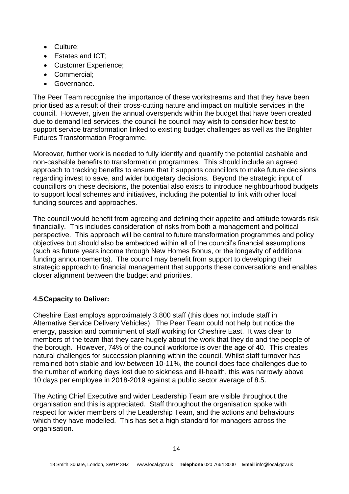- Culture;
- Estates and ICT:
- Customer Experience;
- Commercial;
- Governance.

The Peer Team recognise the importance of these workstreams and that they have been prioritised as a result of their cross-cutting nature and impact on multiple services in the council. However, given the annual overspends within the budget that have been created due to demand led services, the council he council may wish to consider how best to support service transformation linked to existing budget challenges as well as the Brighter Futures Transformation Programme.

Moreover, further work is needed to fully identify and quantify the potential cashable and non-cashable benefits to transformation programmes. This should include an agreed approach to tracking benefits to ensure that it supports councillors to make future decisions regarding invest to save, and wider budgetary decisions. Beyond the strategic input of councillors on these decisions, the potential also exists to introduce neighbourhood budgets to support local schemes and initiatives, including the potential to link with other local funding sources and approaches.

The council would benefit from agreeing and defining their appetite and attitude towards risk financially. This includes consideration of risks from both a management and political perspective. This approach will be central to future transformation programmes and policy objectives but should also be embedded within all of the council's financial assumptions (such as future years income through New Homes Bonus, or the longevity of additional funding announcements). The council may benefit from support to developing their strategic approach to financial management that supports these conversations and enables closer alignment between the budget and priorities.

## **4.5Capacity to Deliver:**

Cheshire East employs approximately 3,800 staff (this does not include staff in Alternative Service Delivery Vehicles). The Peer Team could not help but notice the energy, passion and commitment of staff working for Cheshire East. It was clear to members of the team that they care hugely about the work that they do and the people of the borough. However, 74% of the council workforce is over the age of 40. This creates natural challenges for succession planning within the council. Whilst staff turnover has remained both stable and low between 10-11%, the council does face challenges due to the number of working days lost due to sickness and ill-health, this was narrowly above 10 days per employee in 2018-2019 against a public sector average of 8.5.

The Acting Chief Executive and wider Leadership Team are visible throughout the organisation and this is appreciated. Staff throughout the organisation spoke with respect for wider members of the Leadership Team, and the actions and behaviours which they have modelled. This has set a high standard for managers across the organisation.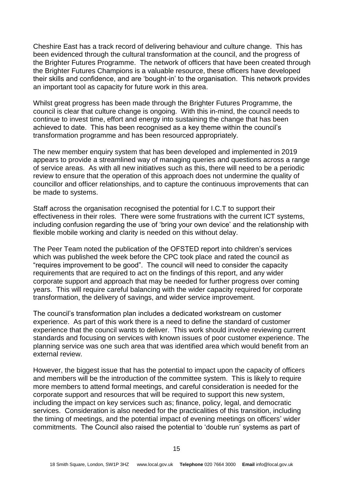Cheshire East has a track record of delivering behaviour and culture change. This has been evidenced through the cultural transformation at the council, and the progress of the Brighter Futures Programme. The network of officers that have been created through the Brighter Futures Champions is a valuable resource, these officers have developed their skills and confidence, and are 'bought-in' to the organisation. This network provides an important tool as capacity for future work in this area.

Whilst great progress has been made through the Brighter Futures Programme, the council is clear that culture change is ongoing. With this in-mind, the council needs to continue to invest time, effort and energy into sustaining the change that has been achieved to date. This has been recognised as a key theme within the council's transformation programme and has been resourced appropriately.

The new member enquiry system that has been developed and implemented in 2019 appears to provide a streamlined way of managing queries and questions across a range of service areas. As with all new initiatives such as this, there will need to be a periodic review to ensure that the operation of this approach does not undermine the quality of councillor and officer relationships, and to capture the continuous improvements that can be made to systems.

Staff across the organisation recognised the potential for I.C.T to support their effectiveness in their roles. There were some frustrations with the current ICT systems, including confusion regarding the use of 'bring your own device' and the relationship with flexible mobile working and clarity is needed on this without delay.

The Peer Team noted the publication of the OFSTED report into children's services which was published the week before the CPC took place and rated the council as "requires improvement to be good". The council will need to consider the capacity requirements that are required to act on the findings of this report, and any wider corporate support and approach that may be needed for further progress over coming years. This will require careful balancing with the wider capacity required for corporate transformation, the delivery of savings, and wider service improvement.

The council's transformation plan includes a dedicated workstream on customer experience. As part of this work there is a need to define the standard of customer experience that the council wants to deliver. This work should involve reviewing current standards and focusing on services with known issues of poor customer experience. The planning service was one such area that was identified area which would benefit from an external review.

However, the biggest issue that has the potential to impact upon the capacity of officers and members will be the introduction of the committee system. This is likely to require more members to attend formal meetings, and careful consideration is needed for the corporate support and resources that will be required to support this new system, including the impact on key services such as; finance, policy, legal, and democratic services. Consideration is also needed for the practicalities of this transition, including the timing of meetings, and the potential impact of evening meetings on officers' wider commitments. The Council also raised the potential to 'double run' systems as part of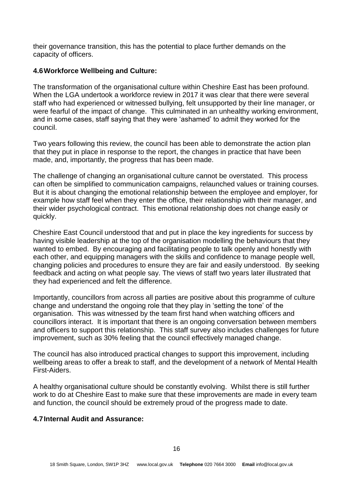their governance transition, this has the potential to place further demands on the capacity of officers.

#### **4.6Workforce Wellbeing and Culture:**

The transformation of the organisational culture within Cheshire East has been profound. When the LGA undertook a workforce review in 2017 it was clear that there were several staff who had experienced or witnessed bullying, felt unsupported by their line manager, or were fearful of the impact of change. This culminated in an unhealthy working environment, and in some cases, staff saying that they were 'ashamed' to admit they worked for the council.

Two years following this review, the council has been able to demonstrate the action plan that they put in place in response to the report, the changes in practice that have been made, and, importantly, the progress that has been made.

The challenge of changing an organisational culture cannot be overstated. This process can often be simplified to communication campaigns, relaunched values or training courses. But it is about changing the emotional relationship between the employee and employer, for example how staff feel when they enter the office, their relationship with their manager, and their wider psychological contract. This emotional relationship does not change easily or quickly.

Cheshire East Council understood that and put in place the key ingredients for success by having visible leadership at the top of the organisation modelling the behaviours that they wanted to embed. By encouraging and facilitating people to talk openly and honestly with each other, and equipping managers with the skills and confidence to manage people well, changing policies and procedures to ensure they are fair and easily understood. By seeking feedback and acting on what people say. The views of staff two years later illustrated that they had experienced and felt the difference.

Importantly, councillors from across all parties are positive about this programme of culture change and understand the ongoing role that they play in 'setting the tone' of the organisation. This was witnessed by the team first hand when watching officers and councillors interact. It is important that there is an ongoing conversation between members and officers to support this relationship. This staff survey also includes challenges for future improvement, such as 30% feeling that the council effectively managed change.

The council has also introduced practical changes to support this improvement, including wellbeing areas to offer a break to staff, and the development of a network of Mental Health First-Aiders.

A healthy organisational culture should be constantly evolving. Whilst there is still further work to do at Cheshire East to make sure that these improvements are made in every team and function, the council should be extremely proud of the progress made to date.

#### **4.7Internal Audit and Assurance:**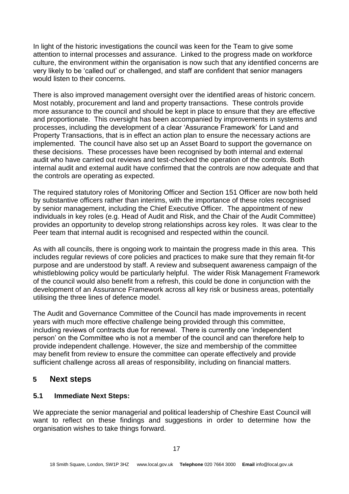In light of the historic investigations the council was keen for the Team to give some attention to internal processes and assurance. Linked to the progress made on workforce culture, the environment within the organisation is now such that any identified concerns are very likely to be 'called out' or challenged, and staff are confident that senior managers would listen to their concerns.

There is also improved management oversight over the identified areas of historic concern. Most notably, procurement and land and property transactions. These controls provide more assurance to the council and should be kept in place to ensure that they are effective and proportionate. This oversight has been accompanied by improvements in systems and processes, including the development of a clear 'Assurance Framework' for Land and Property Transactions, that is in effect an action plan to ensure the necessary actions are implemented. The council have also set up an Asset Board to support the governance on these decisions. These processes have been recognised by both internal and external audit who have carried out reviews and test-checked the operation of the controls. Both internal audit and external audit have confirmed that the controls are now adequate and that the controls are operating as expected.

The required statutory roles of Monitoring Officer and Section 151 Officer are now both held by substantive officers rather than interims, with the importance of these roles recognised by senior management, including the Chief Executive Officer. The appointment of new individuals in key roles (e.g. Head of Audit and Risk, and the Chair of the Audit Committee) provides an opportunity to develop strong relationships across key roles. It was clear to the Peer team that internal audit is recognised and respected within the council.

As with all councils, there is ongoing work to maintain the progress made in this area. This includes regular reviews of core policies and practices to make sure that they remain fit-for purpose and are understood by staff. A review and subsequent awareness campaign of the whistleblowing policy would be particularly helpful. The wider Risk Management Framework of the council would also benefit from a refresh, this could be done in conjunction with the development of an Assurance Framework across all key risk or business areas, potentially utilising the three lines of defence model.

The Audit and Governance Committee of the Council has made improvements in recent years with much more effective challenge being provided through this committee, including reviews of contracts due for renewal. There is currently one 'independent person' on the Committee who is not a member of the council and can therefore help to provide independent challenge. However, the size and membership of the committee may benefit from review to ensure the committee can operate effectively and provide sufficient challenge across all areas of responsibility, including on financial matters.

#### **5 Next steps**

#### **5.1 Immediate Next Steps:**

We appreciate the senior managerial and political leadership of Cheshire East Council will want to reflect on these findings and suggestions in order to determine how the organisation wishes to take things forward.